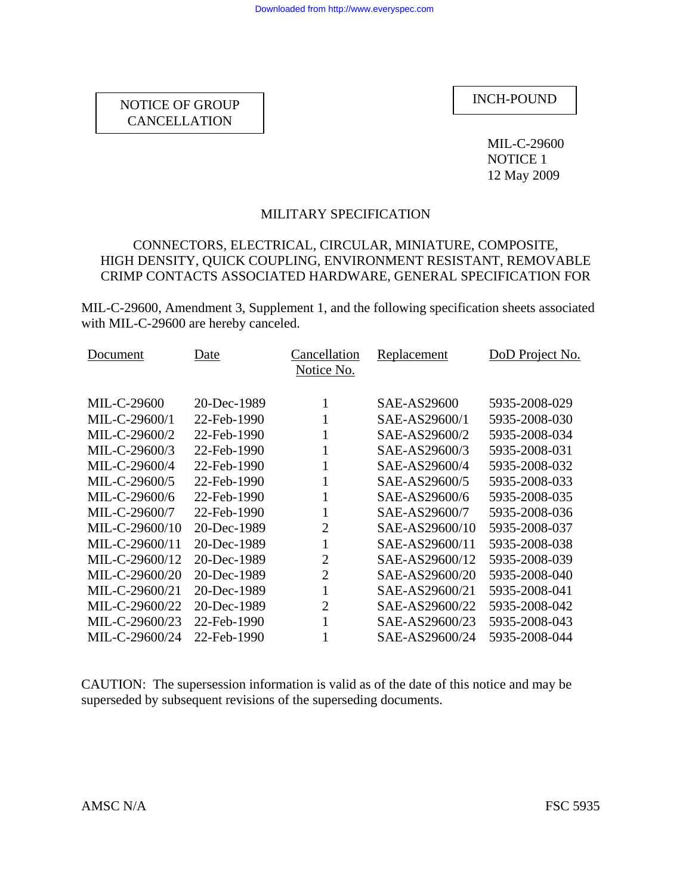MIL-C-29600 NOTICE 1 12 May 2009

## MILITARY SPECIFICATION

## CONNECTORS, ELECTRICAL, CIRCULAR, MINIATURE, COMPOSITE, HIGH DENSITY, QUICK COUPLING, ENVIRONMENT RESISTANT, REMOVABLE CRIMP CONTACTS ASSOCIATED HARDWARE, GENERAL SPECIFICATION FOR

MIL-C-29600, Amendment 3, Supplement 1, and the following specification sheets associated with MIL-C-29600 are hereby canceled.

| Document       | Date        | Cancellation<br>Notice No. | <b>Replacement</b> | DoD Project No. |
|----------------|-------------|----------------------------|--------------------|-----------------|
| MIL-C-29600    | 20-Dec-1989 | 1                          | SAE-AS29600        | 5935-2008-029   |
| MIL-C-29600/1  | 22-Feb-1990 | $\mathbf{1}$               | SAE-AS29600/1      | 5935-2008-030   |
| MIL-C-29600/2  | 22-Feb-1990 | 1                          | SAE-AS29600/2      | 5935-2008-034   |
| MIL-C-29600/3  | 22-Feb-1990 | 1                          | SAE-AS29600/3      | 5935-2008-031   |
| MIL-C-29600/4  | 22-Feb-1990 | 1                          | SAE-AS29600/4      | 5935-2008-032   |
| MIL-C-29600/5  | 22-Feb-1990 | 1                          | SAE-AS29600/5      | 5935-2008-033   |
| MIL-C-29600/6  | 22-Feb-1990 | 1                          | SAE-AS29600/6      | 5935-2008-035   |
| MIL-C-29600/7  | 22-Feb-1990 | 1                          | SAE-AS29600/7      | 5935-2008-036   |
| MIL-C-29600/10 | 20-Dec-1989 | $\overline{2}$             | SAE-AS29600/10     | 5935-2008-037   |
| MIL-C-29600/11 | 20-Dec-1989 | 1                          | SAE-AS29600/11     | 5935-2008-038   |
| MIL-C-29600/12 | 20-Dec-1989 | $\overline{2}$             | SAE-AS29600/12     | 5935-2008-039   |
| MIL-C-29600/20 | 20-Dec-1989 | $\overline{2}$             | SAE-AS29600/20     | 5935-2008-040   |
| MIL-C-29600/21 | 20-Dec-1989 | $\mathbf{1}$               | SAE-AS29600/21     | 5935-2008-041   |
| MIL-C-29600/22 | 20-Dec-1989 | $\overline{2}$             | SAE-AS29600/22     | 5935-2008-042   |
| MIL-C-29600/23 | 22-Feb-1990 | 1                          | SAE-AS29600/23     | 5935-2008-043   |
| MIL-C-29600/24 | 22-Feb-1990 | 1                          | SAE-AS29600/24     | 5935-2008-044   |

CAUTION: The supersession information is valid as of the date of this notice and may be superseded by subsequent revisions of the superseding documents.